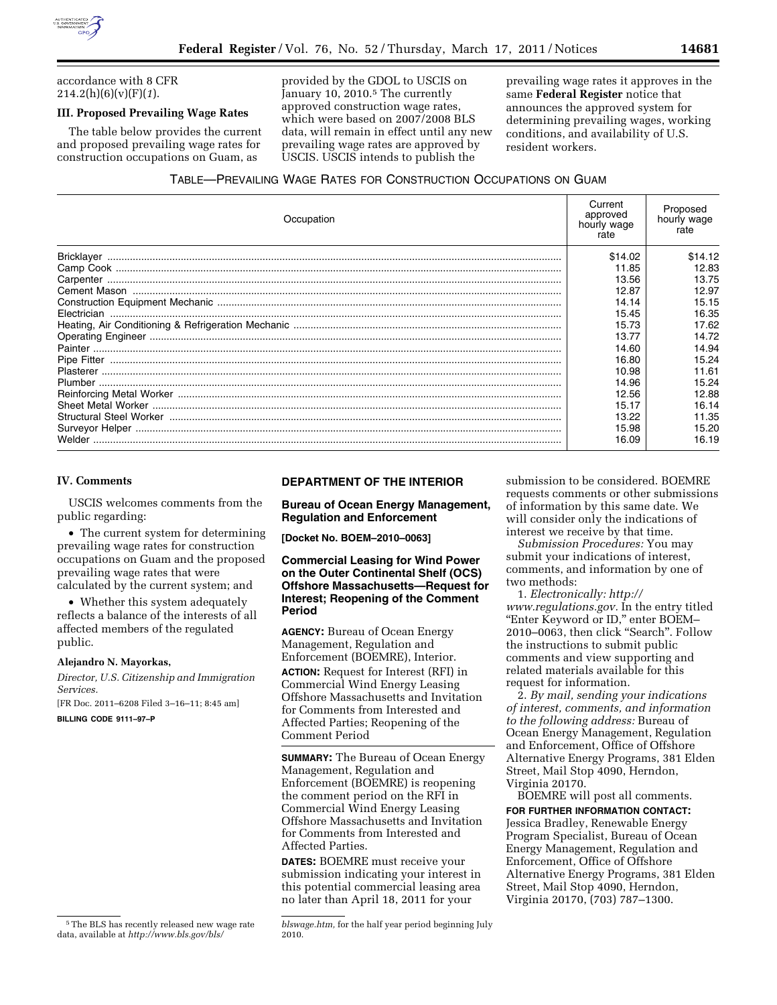

accordance with 8 CFR 214.2(h)(6)(v)(F)(*1*).

#### **III. Proposed Prevailing Wage Rates**

The table below provides the current and proposed prevailing wage rates for construction occupations on Guam, as

provided by the GDOL to USCIS on January 10, 2010.<sup>5</sup> The currently approved construction wage rates, which were based on 2007/2008 BLS data, will remain in effect until any new prevailing wage rates are approved by USCIS. USCIS intends to publish the

prevailing wage rates it approves in the same **Federal Register** notice that announces the approved system for determining prevailing wages, working conditions, and availability of U.S. resident workers.

# TABLE—PREVAILING WAGE RATES FOR CONSTRUCTION OCCUPATIONS ON GUAM

| Occupation | Current<br>approved<br>hourly wage<br>rate | Proposed<br>hourly wage<br>rate |
|------------|--------------------------------------------|---------------------------------|
|            | \$14.02                                    | \$14.12                         |
|            | 11.85                                      | 12.83                           |
|            | 13.56                                      | 13.75                           |
|            | 12.87                                      | 12.97                           |
|            | 14.14                                      | 15.15                           |
|            | 15.45                                      | 16.35                           |
|            | 15.73                                      | 17.62                           |
|            | 13.77                                      | 14.72                           |
|            | 14.60                                      | 14.94                           |
|            | 16.80                                      | 15.24                           |
|            | 10.98                                      | 11.61                           |
|            | 14.96                                      | 15.24                           |
|            | 12.56                                      | 12.88                           |
|            | 15.17                                      | 16.14                           |
|            | 13.22                                      | 11.35                           |
|            | 15.98                                      | 15.20                           |
|            | 16.09                                      | 16.19                           |

#### **IV. Comments**

USCIS welcomes comments from the public regarding:

• The current system for determining prevailing wage rates for construction occupations on Guam and the proposed prevailing wage rates that were calculated by the current system; and

• Whether this system adequately reflects a balance of the interests of all affected members of the regulated public.

### **Alejandro N. Mayorkas,**

*Director, U.S. Citizenship and Immigration Services.* 

[FR Doc. 2011–6208 Filed 3–16–11; 8:45 am] **BILLING CODE 9111–97–P** 

# **DEPARTMENT OF THE INTERIOR**

**Bureau of Ocean Energy Management, Regulation and Enforcement** 

**[Docket No. BOEM–2010–0063]** 

## **Commercial Leasing for Wind Power on the Outer Continental Shelf (OCS) Offshore Massachusetts—Request for Interest; Reopening of the Comment Period**

**AGENCY:** Bureau of Ocean Energy Management, Regulation and Enforcement (BOEMRE), Interior.

**ACTION:** Request for Interest (RFI) in Commercial Wind Energy Leasing Offshore Massachusetts and Invitation for Comments from Interested and Affected Parties; Reopening of the Comment Period

**SUMMARY:** The Bureau of Ocean Energy Management, Regulation and Enforcement (BOEMRE) is reopening the comment period on the RFI in Commercial Wind Energy Leasing Offshore Massachusetts and Invitation for Comments from Interested and Affected Parties.

**DATES:** BOEMRE must receive your submission indicating your interest in this potential commercial leasing area no later than April 18, 2011 for your

submission to be considered. BOEMRE requests comments or other submissions of information by this same date. We will consider only the indications of interest we receive by that time.

*Submission Procedures:* You may submit your indications of interest, comments, and information by one of two methods:

1. *Electronically: [http://](http://www.regulations.gov) [www.regulations.gov.](http://www.regulations.gov)* In the entry titled ''Enter Keyword or ID,'' enter BOEM– 2010–0063, then click ''Search''. Follow the instructions to submit public comments and view supporting and related materials available for this request for information.

2. *By mail, sending your indications of interest, comments, and information to the following address:* Bureau of Ocean Energy Management, Regulation and Enforcement, Office of Offshore Alternative Energy Programs, 381 Elden Street, Mail Stop 4090, Herndon, Virginia 20170.

BOEMRE will post all comments. **FOR FURTHER INFORMATION CONTACT:**  Jessica Bradley, Renewable Energy Program Specialist, Bureau of Ocean Energy Management, Regulation and Enforcement, Office of Offshore Alternative Energy Programs, 381 Elden Street, Mail Stop 4090, Herndon, Virginia 20170, (703) 787–1300.

<sup>5</sup>The BLS has recently released new wage rate data, available at *[http://www.bls.gov/bls/](http://www.bls.gov/bls/blswage.htm)* 

*[blswage.htm,](http://www.bls.gov/bls/blswage.htm)* for the half year period beginning July 2010.